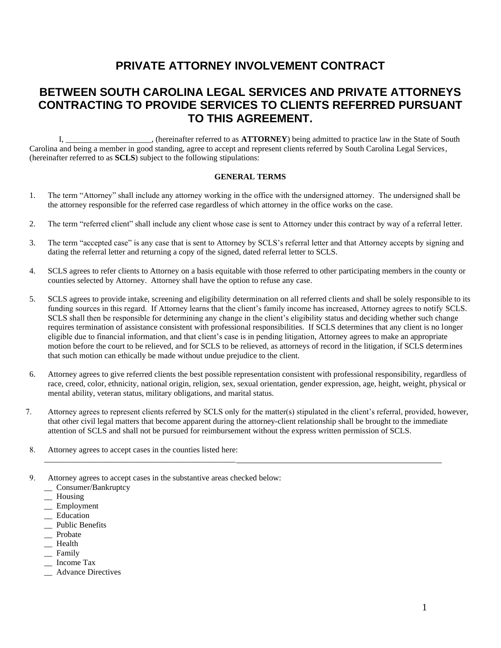# **PRIVATE ATTORNEY INVOLVEMENT CONTRACT**

# **BETWEEN SOUTH CAROLINA LEGAL SERVICES AND PRIVATE ATTORNEYS CONTRACTING TO PROVIDE SERVICES TO CLIENTS REFERRED PURSUANT TO THIS AGREEMENT.**

I, \_\_\_\_\_\_\_\_\_\_\_\_\_\_\_\_\_\_\_\_\_, (hereinafter referred to as **ATTORNEY**) being admitted to practice law in the State of South Carolina and being a member in good standing, agree to accept and represent clients referred by South Carolina Legal Services, (hereinafter referred to as **SCLS**) subject to the following stipulations:

### **GENERAL TERMS**

- 1. The term "Attorney" shall include any attorney working in the office with the undersigned attorney. The undersigned shall be the attorney responsible for the referred case regardless of which attorney in the office works on the case.
- 2. The term "referred client" shall include any client whose case is sent to Attorney under this contract by way of a referral letter.
- 3. The term "accepted case" is any case that is sent to Attorney by SCLS's referral letter and that Attorney accepts by signing and dating the referral letter and returning a copy of the signed, dated referral letter to SCLS.
- 4. SCLS agrees to refer clients to Attorney on a basis equitable with those referred to other participating members in the county or counties selected by Attorney. Attorney shall have the option to refuse any case.
- 5. SCLS agrees to provide intake, screening and eligibility determination on all referred clients and shall be solely responsible to its funding sources in this regard. If Attorney learns that the client's family income has increased, Attorney agrees to notify SCLS. SCLS shall then be responsible for determining any change in the client's eligibility status and deciding whether such change requires termination of assistance consistent with professional responsibilities. If SCLS determines that any client is no longer eligible due to financial information, and that client's case is in pending litigation, Attorney agrees to make an appropriate motion before the court to be relieved, and for SCLS to be relieved, as attorneys of record in the litigation, if SCLS determines that such motion can ethically be made without undue prejudice to the client.
- 6. Attorney agrees to give referred clients the best possible representation consistent with professional responsibility, regardless of race, creed, color, ethnicity, national origin, religion, sex, sexual orientation, gender expression, age, height, weight, physical or mental ability, veteran status, military obligations, and marital status.
- 7. Attorney agrees to represent clients referred by SCLS only for the matter(s) stipulated in the client's referral, provided, however, that other civil legal matters that become apparent during the attorney-client relationship shall be brought to the immediate attention of SCLS and shall not be pursued for reimbursement without the express written permission of SCLS.
- 8. Attorney agrees to accept cases in the counties listed here:

\_\_\_\_\_\_\_\_\_\_\_\_\_\_\_\_\_\_\_\_\_\_\_\_\_\_\_\_\_\_\_\_\_\_\_\_\_\_\_\_\_\_\_\_\_\_\_

- 9. Attorney agrees to accept cases in the substantive areas checked below:
	- \_\_ Consumer/Bankruptcy
	- \_\_ Housing
	- \_\_ Employment
	- \_\_ Education
	- \_\_ Public Benefits
	- \_\_ Probate
	- \_\_ Health
	- \_\_ Family
	- \_\_ Income Tax
	- \_\_ Advance Directives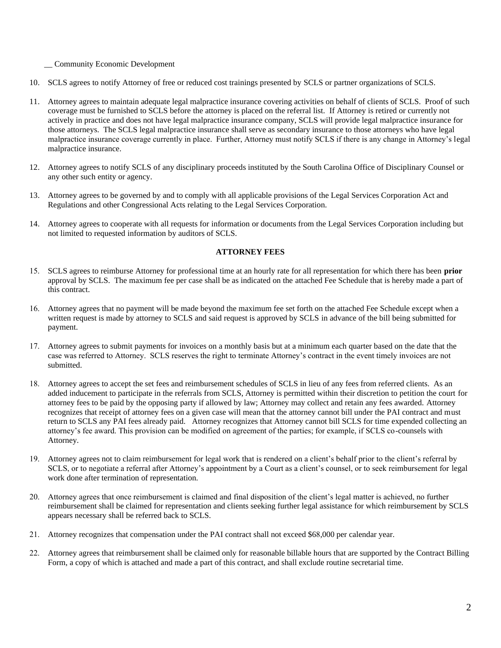#### \_\_ Community Economic Development

- 10. SCLS agrees to notify Attorney of free or reduced cost trainings presented by SCLS or partner organizations of SCLS.
- 11. Attorney agrees to maintain adequate legal malpractice insurance covering activities on behalf of clients of SCLS. Proof of such coverage must be furnished to SCLS before the attorney is placed on the referral list. If Attorney is retired or currently not actively in practice and does not have legal malpractice insurance company, SCLS will provide legal malpractice insurance for those attorneys. The SCLS legal malpractice insurance shall serve as secondary insurance to those attorneys who have legal malpractice insurance coverage currently in place. Further, Attorney must notify SCLS if there is any change in Attorney's legal malpractice insurance.
- 12. Attorney agrees to notify SCLS of any disciplinary proceeds instituted by the South Carolina Office of Disciplinary Counsel or any other such entity or agency.
- 13. Attorney agrees to be governed by and to comply with all applicable provisions of the Legal Services Corporation Act and Regulations and other Congressional Acts relating to the Legal Services Corporation.
- 14. Attorney agrees to cooperate with all requests for information or documents from the Legal Services Corporation including but not limited to requested information by auditors of SCLS.

### **ATTORNEY FEES**

- 15. SCLS agrees to reimburse Attorney for professional time at an hourly rate for all representation for which there has been **prior** approval by SCLS. The maximum fee per case shall be as indicated on the attached Fee Schedule that is hereby made a part of this contract.
- 16. Attorney agrees that no payment will be made beyond the maximum fee set forth on the attached Fee Schedule except when a written request is made by attorney to SCLS and said request is approved by SCLS in advance of the bill being submitted for payment.
- 17. Attorney agrees to submit payments for invoices on a monthly basis but at a minimum each quarter based on the date that the case was referred to Attorney. SCLS reserves the right to terminate Attorney's contract in the event timely invoices are not submitted.
- 18. Attorney agrees to accept the set fees and reimbursement schedules of SCLS in lieu of any fees from referred clients. As an added inducement to participate in the referrals from SCLS, Attorney is permitted within their discretion to petition the court for attorney fees to be paid by the opposing party if allowed by law; Attorney may collect and retain any fees awarded. Attorney recognizes that receipt of attorney fees on a given case will mean that the attorney cannot bill under the PAI contract and must return to SCLS any PAI fees already paid. Attorney recognizes that Attorney cannot bill SCLS for time expended collecting an attorney's fee award. This provision can be modified on agreement of the parties; for example, if SCLS co-counsels with Attorney.
- 19. Attorney agrees not to claim reimbursement for legal work that is rendered on a client's behalf prior to the client's referral by SCLS, or to negotiate a referral after Attorney's appointment by a Court as a client's counsel, or to seek reimbursement for legal work done after termination of representation.
- 20. Attorney agrees that once reimbursement is claimed and final disposition of the client's legal matter is achieved, no further reimbursement shall be claimed for representation and clients seeking further legal assistance for which reimbursement by SCLS appears necessary shall be referred back to SCLS.
- 21. Attorney recognizes that compensation under the PAI contract shall not exceed \$68,000 per calendar year.
- 22. Attorney agrees that reimbursement shall be claimed only for reasonable billable hours that are supported by the Contract Billing Form, a copy of which is attached and made a part of this contract, and shall exclude routine secretarial time.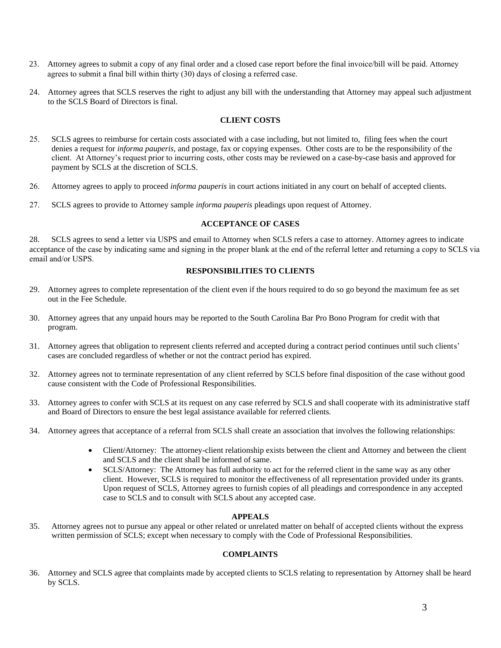- 23. Attorney agrees to submit a copy of any final order and a closed case report before the final invoice/bill will be paid. Attorney agrees to submit a final bill within thirty (30) days of closing a referred case.
- 24. Attorney agrees that SCLS reserves the right to adjust any bill with the understanding that Attorney may appeal such adjustment to the SCLS Board of Directors is final.

### **CLIENT COSTS**

- 25. SCLS agrees to reimburse for certain costs associated with a case including, but not limited to, filing fees when the court denies a request for *informa pauperis,* and postage, fax or copying expenses. Other costs are to be the responsibility of the client. At Attorney's request prior to incurring costs, other costs may be reviewed on a case-by-case basis and approved for payment by SCLS at the discretion of SCLS.
- 26. Attorney agrees to apply to proceed *informa pauperis* in court actions initiated in any court on behalf of accepted clients.
- 27. SCLS agrees to provide to Attorney sample *informa pauperis* pleadings upon request of Attorney.

### **ACCEPTANCE OF CASES**

28. SCLS agrees to send a letter via USPS and email to Attorney when SCLS refers a case to attorney. Attorney agrees to indicate acceptance of the case by indicating same and signing in the proper blank at the end of the referral letter and returning a copy to SCLS via email and/or USPS.

## **RESPONSIBILITIES TO CLIENTS**

- 29. Attorney agrees to complete representation of the client even if the hours required to do so go beyond the maximum fee as set out in the Fee Schedule.
- 30. Attorney agrees that any unpaid hours may be reported to the South Carolina Bar Pro Bono Program for credit with that program.
- 31. Attorney agrees that obligation to represent clients referred and accepted during a contract period continues until such clients' cases are concluded regardless of whether or not the contract period has expired.
- 32. Attorney agrees not to terminate representation of any client referred by SCLS before final disposition of the case without good cause consistent with the Code of Professional Responsibilities.
- 33. Attorney agrees to confer with SCLS at its request on any case referred by SCLS and shall cooperate with its administrative staff and Board of Directors to ensure the best legal assistance available for referred clients.
- 34. Attorney agrees that acceptance of a referral from SCLS shall create an association that involves the following relationships:
	- Client/Attorney: The attorney-client relationship exists between the client and Attorney and between the client and SCLS and the client shall be informed of same.
	- SCLS/Attorney: The Attorney has full authority to act for the referred client in the same way as any other client. However, SCLS is required to monitor the effectiveness of all representation provided under its grants. Upon request of SCLS, Attorney agrees to furnish copies of all pleadings and correspondence in any accepted case to SCLS and to consult with SCLS about any accepted case.

### **APPEALS**

35. Attorney agrees not to pursue any appeal or other related or unrelated matter on behalf of accepted clients without the express written permission of SCLS; except when necessary to comply with the Code of Professional Responsibilities.

## **COMPLAINTS**

36. Attorney and SCLS agree that complaints made by accepted clients to SCLS relating to representation by Attorney shall be heard by SCLS.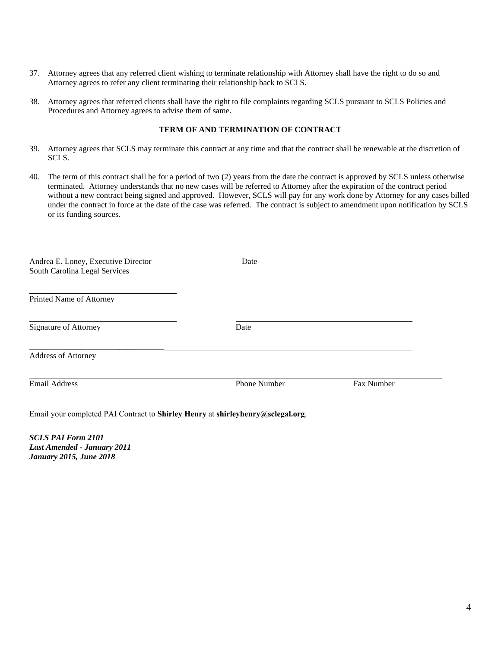- 37. Attorney agrees that any referred client wishing to terminate relationship with Attorney shall have the right to do so and Attorney agrees to refer any client terminating their relationship back to SCLS.
- 38. Attorney agrees that referred clients shall have the right to file complaints regarding SCLS pursuant to SCLS Policies and Procedures and Attorney agrees to advise them of same.

#### **TERM OF AND TERMINATION OF CONTRACT**

- 39. Attorney agrees that SCLS may terminate this contract at any time and that the contract shall be renewable at the discretion of SCLS.
- 40. The term of this contract shall be for a period of two (2) years from the date the contract is approved by SCLS unless otherwise terminated. Attorney understands that no new cases will be referred to Attorney after the expiration of the contract period without a new contract being signed and approved. However, SCLS will pay for any work done by Attorney for any cases billed under the contract in force at the date of the case was referred. The contract is subject to amendment upon notification by SCLS or its funding sources.

| Andrea E. Loney, Executive Director<br>South Carolina Legal Services | Date                |            |
|----------------------------------------------------------------------|---------------------|------------|
| Printed Name of Attorney                                             |                     |            |
| <b>Signature of Attorney</b>                                         | Date                |            |
| <b>Address of Attorney</b>                                           |                     |            |
| <b>Email Address</b>                                                 | <b>Phone Number</b> | Fax Number |

Email your completed PAI Contract to **Shirley Henry** at **shirleyhenry@sclegal.org**.

*SCLS PAI Form 2101 Last Amended - January 2011 January 2015, June 2018*